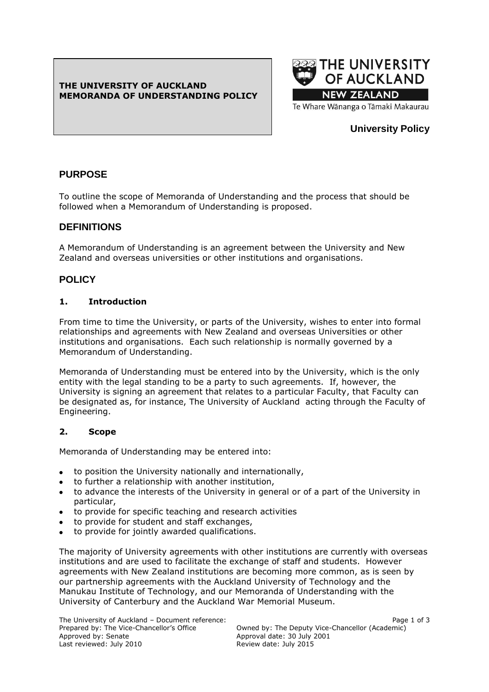## **THE UNIVERSITY OF AUCKLAND MEMORANDA OF UNDERSTANDING POLICY**



# **University Policy**

# **PURPOSE**

To outline the scope of Memoranda of Understanding and the process that should be followed when a Memorandum of Understanding is proposed.

# **DEFINITIONS**

A Memorandum of Understanding is an agreement between the University and New Zealand and overseas universities or other institutions and organisations.

# **POLICY**

## **1. Introduction**

From time to time the University, or parts of the University, wishes to enter into formal relationships and agreements with New Zealand and overseas Universities or other institutions and organisations. Each such relationship is normally governed by a Memorandum of Understanding.

Memoranda of Understanding must be entered into by the University, which is the only entity with the legal standing to be a party to such agreements. If, however, the University is signing an agreement that relates to a particular Faculty, that Faculty can be designated as, for instance, The University of Auckland acting through the Faculty of Engineering.

## **2. Scope**

Memoranda of Understanding may be entered into:

- to position the University nationally and internationally,
- to further a relationship with another institution,
- to advance the interests of the University in general or of a part of the University in particular,
- to provide for specific teaching and research activities
- to provide for student and staff exchanges,
- to provide for jointly awarded qualifications.

The majority of University agreements with other institutions are currently with overseas institutions and are used to facilitate the exchange of staff and students. However agreements with New Zealand institutions are becoming more common, as is seen by our partnership agreements with the Auckland University of Technology and the Manukau Institute of Technology, and our Memoranda of Understanding with the University of Canterbury and the Auckland War Memorial Museum.

The University of Auckland – Document reference:<br>Prepared by: The Vice-Chancellor's Office (Prepared by: The Deputy Vice-Chancellor (Academic) Last reviewed: July 2010

Prepared by: The Vice-Chancellor's Office Cowned by: The Deputy Vice-Chancellor (Academic)<br>Approval date: 30 July 2001 Approval date: 30 July 2001<br>Review date: July 2015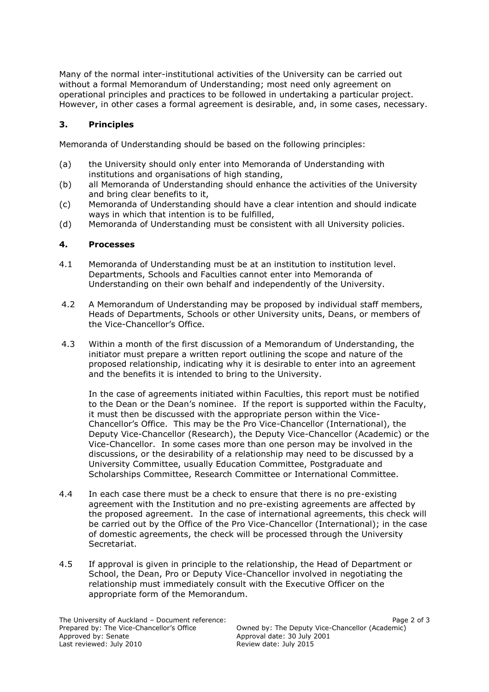Many of the normal inter-institutional activities of the University can be carried out without a formal Memorandum of Understanding; most need only agreement on operational principles and practices to be followed in undertaking a particular project. However, in other cases a formal agreement is desirable, and, in some cases, necessary.

## **3. Principles**

Memoranda of Understanding should be based on the following principles:

- (a) the University should only enter into Memoranda of Understanding with institutions and organisations of high standing,
- (b) all Memoranda of Understanding should enhance the activities of the University and bring clear benefits to it,
- (c) Memoranda of Understanding should have a clear intention and should indicate ways in which that intention is to be fulfilled,
- (d) Memoranda of Understanding must be consistent with all University policies.

### **4. Processes**

- 4.1 Memoranda of Understanding must be at an institution to institution level. Departments, Schools and Faculties cannot enter into Memoranda of Understanding on their own behalf and independently of the University.
- 4.2 A Memorandum of Understanding may be proposed by individual staff members, Heads of Departments, Schools or other University units, Deans, or members of the Vice-Chancellor's Office.
- 4.3 Within a month of the first discussion of a Memorandum of Understanding, the initiator must prepare a written report outlining the scope and nature of the proposed relationship, indicating why it is desirable to enter into an agreement and the benefits it is intended to bring to the University.

In the case of agreements initiated within Faculties, this report must be notified to the Dean or the Dean's nominee. If the report is supported within the Faculty, it must then be discussed with the appropriate person within the Vice-Chancellor's Office. This may be the Pro Vice-Chancellor (International), the Deputy Vice-Chancellor (Research), the Deputy Vice-Chancellor (Academic) or the Vice-Chancellor. In some cases more than one person may be involved in the discussions, or the desirability of a relationship may need to be discussed by a University Committee, usually Education Committee, Postgraduate and Scholarships Committee, Research Committee or International Committee.

- 4.4 In each case there must be a check to ensure that there is no pre-existing agreement with the Institution and no pre-existing agreements are affected by the proposed agreement. In the case of international agreements, this check will be carried out by the Office of the Pro Vice-Chancellor (International); in the case of domestic agreements, the check will be processed through the University Secretariat.
- 4.5 If approval is given in principle to the relationship, the Head of Department or School, the Dean, Pro or Deputy Vice-Chancellor involved in negotiating the relationship must immediately consult with the Executive Officer on the appropriate form of the Memorandum.